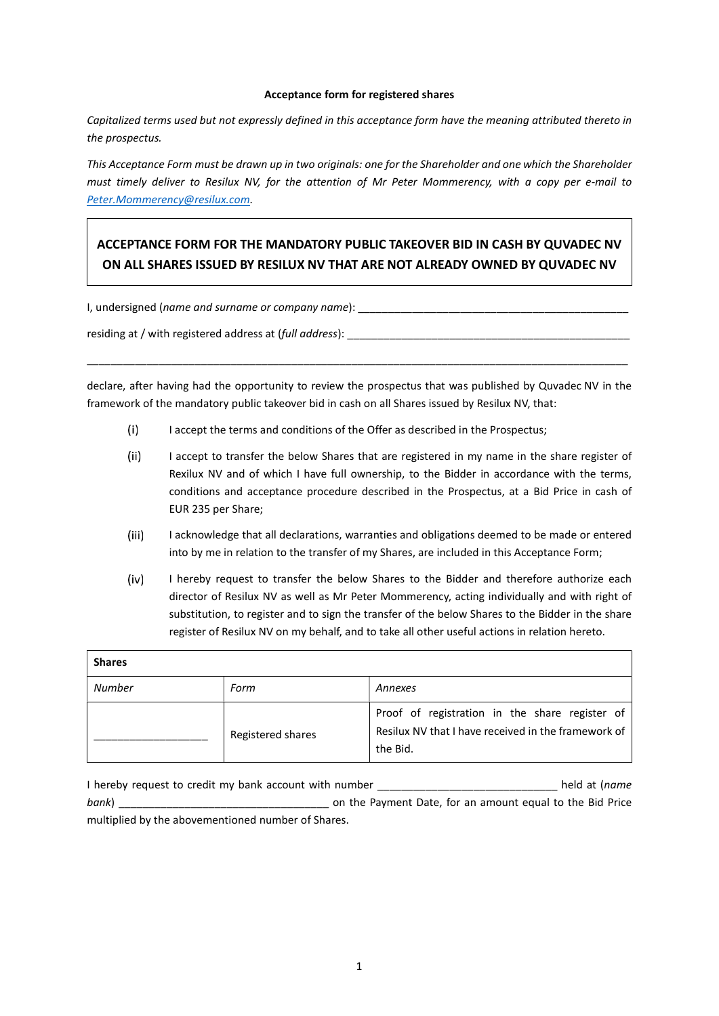## Acceptance form for registered shares

Capitalized terms used but not expressly defined in this acceptance form have the meaning attributed thereto in the prospectus.

This Acceptance Form must be drawn up in two originals: one for the Shareholder and one which the Shareholder must timely deliver to Resilux NV, for the attention of Mr Peter Mommerency, with a copy per e-mail to Peter.Mommerency@resilux.com.

## ACCEPTANCE FORM FOR THE MANDATORY PUBLIC TAKEOVER BID IN CASH BY QUVADEC NV ON ALL SHARES ISSUED BY RESILUX NV THAT ARE NOT ALREADY OWNED BY QUVADEC NV

I, undersigned (name and surname or company name):

residing at / with registered address at (full address):

declare, after having had the opportunity to review the prospectus that was published by Quvadec NV in the framework of the mandatory public takeover bid in cash on all Shares issued by Resilux NV, that:

\_\_\_\_\_\_\_\_\_\_\_\_\_\_\_\_\_\_\_\_\_\_\_\_\_\_\_\_\_\_\_\_\_\_\_\_\_\_\_\_\_\_\_\_\_\_\_\_\_\_\_\_\_\_\_\_\_\_\_\_\_\_\_\_\_\_\_\_\_\_\_\_\_\_\_\_\_\_\_\_\_\_\_\_\_\_\_\_\_\_

- $(i)$ I accept the terms and conditions of the Offer as described in the Prospectus;
- $(ii)$ I accept to transfer the below Shares that are registered in my name in the share register of Rexilux NV and of which I have full ownership, to the Bidder in accordance with the terms, conditions and acceptance procedure described in the Prospectus, at a Bid Price in cash of EUR 235 per Share;
- $(iii)$ I acknowledge that all declarations, warranties and obligations deemed to be made or entered into by me in relation to the transfer of my Shares, are included in this Acceptance Form;
- $(iv)$ I hereby request to transfer the below Shares to the Bidder and therefore authorize each director of Resilux NV as well as Mr Peter Mommerency, acting individually and with right of substitution, to register and to sign the transfer of the below Shares to the Bidder in the share register of Resilux NV on my behalf, and to take all other useful actions in relation hereto.

| <b>Shares</b> |                   |                                                                                                                   |
|---------------|-------------------|-------------------------------------------------------------------------------------------------------------------|
| <b>Number</b> | Form              | Annexes                                                                                                           |
|               | Registered shares | Proof of registration in the share register of<br>Resilux NV that I have received in the framework of<br>the Bid. |

I hereby request to credit my bank account with number \_\_\_\_\_\_\_\_\_\_\_\_\_\_\_\_\_\_\_\_\_\_\_\_\_\_\_\_\_\_\_\_\_\_\_ held at (name bank) \_\_\_\_\_\_\_\_\_\_\_\_\_\_\_\_\_\_\_\_\_\_\_\_\_\_\_\_\_\_\_\_\_\_\_ on the Payment Date, for an amount equal to the Bid Price multiplied by the abovementioned number of Shares.